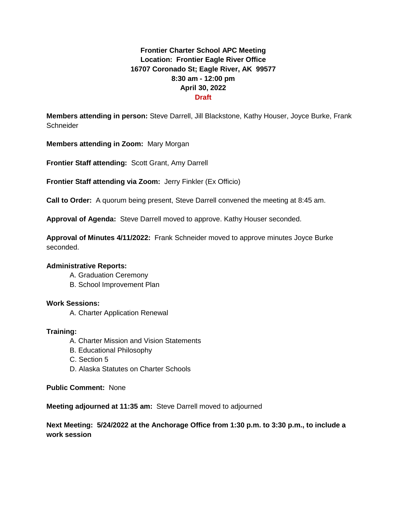# **Frontier Charter School APC Meeting Location: Frontier Eagle River Office 16707 Coronado St; Eagle River, AK 99577 8:30 am - 12:00 pm April 30, 2022 Draft**

**Members attending in person:** Steve Darrell, Jill Blackstone, Kathy Houser, Joyce Burke, Frank **Schneider** 

**Members attending in Zoom:** Mary Morgan

**Frontier Staff attending:** Scott Grant, Amy Darrell

**Frontier Staff attending via Zoom:** Jerry Finkler (Ex Officio)

**Call to Order:** A quorum being present, Steve Darrell convened the meeting at 8:45 am.

**Approval of Agenda:** Steve Darrell moved to approve. Kathy Houser seconded.

**Approval of Minutes 4/11/2022:** Frank Schneider moved to approve minutes Joyce Burke seconded.

### **Administrative Reports:**

- A. Graduation Ceremony
- B. School Improvement Plan

### **Work Sessions:**

A. Charter Application Renewal

### **Training:**

- A. Charter Mission and Vision Statements
- B. Educational Philosophy
- C. Section 5
- D. Alaska Statutes on Charter Schools

**Public Comment:** None

**Meeting adjourned at 11:35 am:** Steve Darrell moved to adjourned

# **Next Meeting: 5/24/2022 at the Anchorage Office from 1:30 p.m. to 3:30 p.m., to include a work session**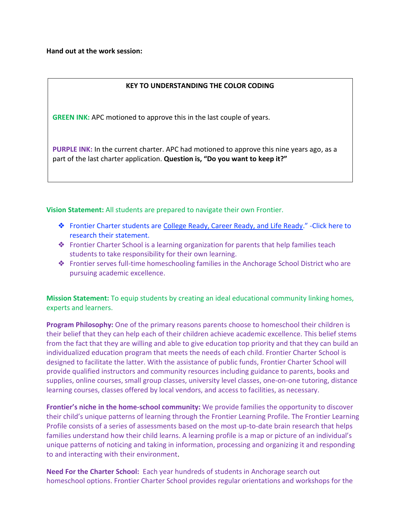**Hand out at the work session:**

### **KEY TO UNDERSTANDING THE COLOR CODING**

**GREEN INK:** APC motioned to approve this in the last couple of years.

**PURPLE INK:** In the current charter. APC had motioned to approve this nine years ago, as a part of the last charter application. **Question is, "Do you want to keep it?"** 

## Vision Statement: All students are prepared to navigate their own Frontier.

- ❖ Frontier Charter students are [College Ready, Career Ready, and Life Ready](https://www.asdk12.org/Page/16479)." -Click here to research their statement.
- ❖ Frontier Charter School is a learning organization for parents that help families teach students to take responsibility for their own learning.
- ❖ Frontier serves full-time homeschooling families in the Anchorage School District who are pursuing academic excellence.

**Mission Statement:** To equip students by creating an ideal educational community linking homes, experts and learners.

**Program Philosophy:** One of the primary reasons parents choose to homeschool their children is their belief that they can help each of their children achieve academic excellence. This belief stems from the fact that they are willing and able to give education top priority and that they can build an individualized education program that meets the needs of each child. Frontier Charter School is designed to facilitate the latter. With the assistance of public funds, Frontier Charter School will provide qualified instructors and community resources including guidance to parents, books and supplies, online courses, small group classes, university level classes, one-on-one tutoring, distance learning courses, classes offered by local vendors, and access to facilities, as necessary.

**Frontier's niche in the home-school community:** We provide families the opportunity to discover their child's unique patterns of learning through the Frontier Learning Profile. The Frontier Learning Profile consists of a series of assessments based on the most up-to-date brain research that helps families understand how their child learns. A learning profile is a map or picture of an individual's unique patterns of noticing and taking in information, processing and organizing it and responding to and interacting with their environment.

**Need For the Charter School:** Each year hundreds of students in Anchorage search out homeschool options. Frontier Charter School provides regular orientations and workshops for the